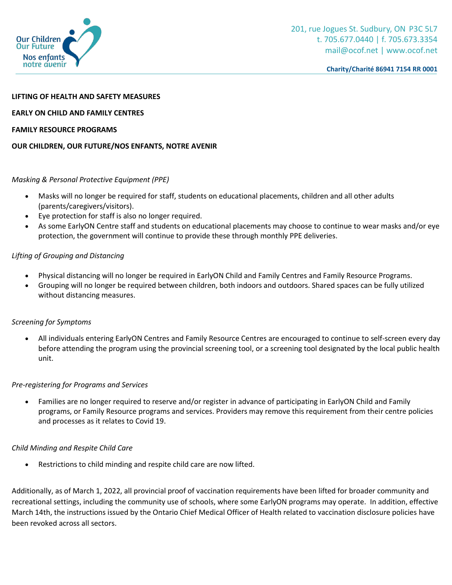

#### **LIFTING OF HEALTH AND SAFETY MEASURES**

#### **EARLY ON CHILD AND FAMILY CENTRES**

### **FAMILY RESOURCE PROGRAMS**

### **OUR CHILDREN, OUR FUTURE/NOS ENFANTS, NOTRE AVENIR**

### *Masking & Personal Protective Equipment (PPE)*

- Masks will no longer be required for staff, students on educational placements, children and all other adults (parents/caregivers/visitors).
- Eye protection for staff is also no longer required.
- As some EarlyON Centre staff and students on educational placements may choose to continue to wear masks and/or eye protection, the government will continue to provide these through monthly PPE deliveries.

# *Lifting of Grouping and Distancing*

- Physical distancing will no longer be required in EarlyON Child and Family Centres and Family Resource Programs.
- Grouping will no longer be required between children, both indoors and outdoors. Shared spaces can be fully utilized without distancing measures.

# *Screening for Symptoms*

 All individuals entering EarlyON Centres and Family Resource Centres are encouraged to continue to self-screen every day before attending the program using the provincial screening tool, or a screening tool designated by the local public health unit.

#### *Pre-registering for Programs and Services*

 Families are no longer required to reserve and/or register in advance of participating in EarlyON Child and Family programs, or Family Resource programs and services. Providers may remove this requirement from their centre policies and processes as it relates to Covid 19.

# *Child Minding and Respite Child Care*

Restrictions to child minding and respite child care are now lifted.

Additionally, as of March 1, 2022, all provincial proof of vaccination requirements have been lifted for broader community and recreational settings, including the community use of schools, where some EarlyON programs may operate. In addition, effective March 14th, the instructions issued by the Ontario Chief Medical Officer of Health related to vaccination disclosure policies have been revoked across all sectors.